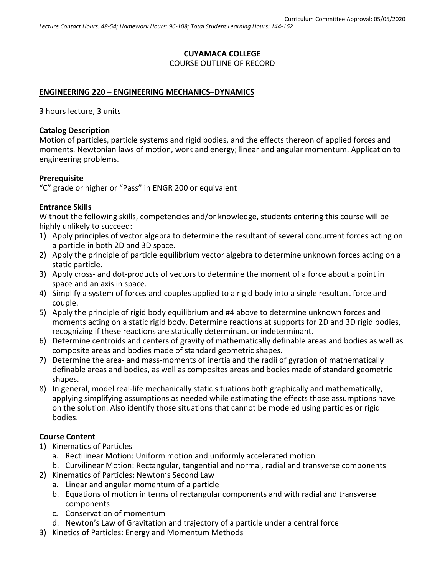# **CUYAMACA COLLEGE** COURSE OUTLINE OF RECORD

### **ENGINEERING 220 – ENGINEERING MECHANICS–DYNAMICS**

3 hours lecture, 3 units

### **Catalog Description**

Motion of particles, particle systems and rigid bodies, and the effects thereon of applied forces and moments. Newtonian laws of motion, work and energy; linear and angular momentum. Application to engineering problems.

## **Prerequisite**

"C" grade or higher or "Pass" in ENGR 200 or equivalent

### **Entrance Skills**

Without the following skills, competencies and/or knowledge, students entering this course will be highly unlikely to succeed:

- 1) Apply principles of vector algebra to determine the resultant of several concurrent forces acting on a particle in both 2D and 3D space.
- 2) Apply the principle of particle equilibrium vector algebra to determine unknown forces acting on a static particle.
- 3) Apply cross- and dot-products of vectors to determine the moment of a force about a point in space and an axis in space.
- 4) Simplify a system of forces and couples applied to a rigid body into a single resultant force and couple.
- 5) Apply the principle of rigid body equilibrium and #4 above to determine unknown forces and moments acting on a static rigid body. Determine reactions at supports for 2D and 3D rigid bodies, recognizing if these reactions are statically determinant or indeterminant.
- 6) Determine centroids and centers of gravity of mathematically definable areas and bodies as well as composite areas and bodies made of standard geometric shapes.
- 7) Determine the area- and mass-moments of inertia and the radii of gyration of mathematically definable areas and bodies, as well as composites areas and bodies made of standard geometric shapes.
- 8) In general, model real-life mechanically static situations both graphically and mathematically, applying simplifying assumptions as needed while estimating the effects those assumptions have on the solution. Also identify those situations that cannot be modeled using particles or rigid bodies.

## **Course Content**

- 1) Kinematics of Particles
	- a. Rectilinear Motion: Uniform motion and uniformly accelerated motion
	- b. Curvilinear Motion: Rectangular, tangential and normal, radial and transverse components
- 2) Kinematics of Particles: Newton's Second Law
	- a. Linear and angular momentum of a particle
	- b. Equations of motion in terms of rectangular components and with radial and transverse components
	- c. Conservation of momentum
	- d. Newton's Law of Gravitation and trajectory of a particle under a central force
- 3) Kinetics of Particles: Energy and Momentum Methods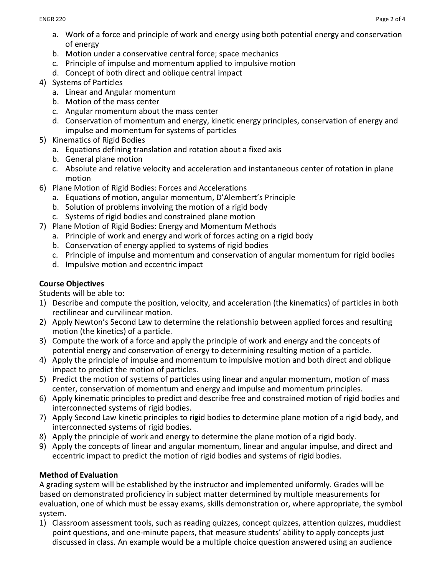- a. Work of a force and principle of work and energy using both potential energy and conservation of energy
- b. Motion under a conservative central force; space mechanics
- c. Principle of impulse and momentum applied to impulsive motion
- d. Concept of both direct and oblique central impact
- 4) Systems of Particles
	- a. Linear and Angular momentum
	- b. Motion of the mass center
	- c. Angular momentum about the mass center
	- d. Conservation of momentum and energy, kinetic energy principles, conservation of energy and impulse and momentum for systems of particles
- 5) Kinematics of Rigid Bodies
	- a. Equations defining translation and rotation about a fixed axis
	- b. General plane motion
	- c. Absolute and relative velocity and acceleration and instantaneous center of rotation in plane motion
- 6) Plane Motion of Rigid Bodies: Forces and Accelerations
	- a. Equations of motion, angular momentum, D'Alembert's Principle
	- b. Solution of problems involving the motion of a rigid body
	- c. Systems of rigid bodies and constrained plane motion
- 7) Plane Motion of Rigid Bodies: Energy and Momentum Methods
	- a. Principle of work and energy and work of forces acting on a rigid body
	- b. Conservation of energy applied to systems of rigid bodies
	- c. Principle of impulse and momentum and conservation of angular momentum for rigid bodies
	- d. Impulsive motion and eccentric impact

# **Course Objectives**

Students will be able to:

- 1) Describe and compute the position, velocity, and acceleration (the kinematics) of particles in both rectilinear and curvilinear motion.
- 2) Apply Newton's Second Law to determine the relationship between applied forces and resulting motion (the kinetics) of a particle.
- 3) Compute the work of a force and apply the principle of work and energy and the concepts of potential energy and conservation of energy to determining resulting motion of a particle.
- 4) Apply the principle of impulse and momentum to impulsive motion and both direct and oblique impact to predict the motion of particles.
- 5) Predict the motion of systems of particles using linear and angular momentum, motion of mass center, conservation of momentum and energy and impulse and momentum principles.
- 6) Apply kinematic principles to predict and describe free and constrained motion of rigid bodies and interconnected systems of rigid bodies.
- 7) Apply Second Law kinetic principles to rigid bodies to determine plane motion of a rigid body, and interconnected systems of rigid bodies.
- 8) Apply the principle of work and energy to determine the plane motion of a rigid body.
- 9) Apply the concepts of linear and angular momentum, linear and angular impulse, and direct and eccentric impact to predict the motion of rigid bodies and systems of rigid bodies.

# **Method of Evaluation**

A grading system will be established by the instructor and implemented uniformly. Grades will be based on demonstrated proficiency in subject matter determined by multiple measurements for evaluation, one of which must be essay exams, skills demonstration or, where appropriate, the symbol system.

1) Classroom assessment tools, such as reading quizzes, concept quizzes, attention quizzes, muddiest point questions, and one-minute papers, that measure students' ability to apply concepts just discussed in class. An example would be a multiple choice question answered using an audience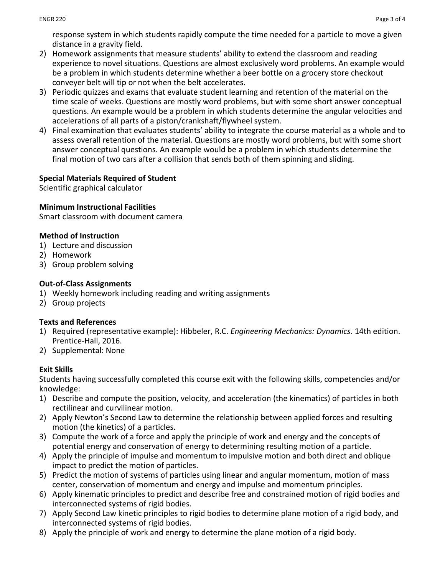response system in which students rapidly compute the time needed for a particle to move a given distance in a gravity field.

- 2) Homework assignments that measure students' ability to extend the classroom and reading experience to novel situations. Questions are almost exclusively word problems. An example would be a problem in which students determine whether a beer bottle on a grocery store checkout conveyer belt will tip or not when the belt accelerates.
- 3) Periodic quizzes and exams that evaluate student learning and retention of the material on the time scale of weeks. Questions are mostly word problems, but with some short answer conceptual questions. An example would be a problem in which students determine the angular velocities and accelerations of all parts of a piston/crankshaft/flywheel system.
- 4) Final examination that evaluates students' ability to integrate the course material as a whole and to assess overall retention of the material. Questions are mostly word problems, but with some short answer conceptual questions. An example would be a problem in which students determine the final motion of two cars after a collision that sends both of them spinning and sliding.

# **Special Materials Required of Student**

Scientific graphical calculator

## **Minimum Instructional Facilities**

Smart classroom with document camera

### **Method of Instruction**

- 1) Lecture and discussion
- 2) Homework
- 3) Group problem solving

### **Out-of-Class Assignments**

- 1) Weekly homework including reading and writing assignments
- 2) Group projects

## **Texts and References**

- 1) Required (representative example): Hibbeler, R.C. *Engineering Mechanics: Dynamics*. 14th edition. Prentice-Hall, 2016.
- 2) Supplemental: None

## **Exit Skills**

Students having successfully completed this course exit with the following skills, competencies and/or knowledge:

- 1) Describe and compute the position, velocity, and acceleration (the kinematics) of particles in both rectilinear and curvilinear motion.
- 2) Apply Newton's Second Law to determine the relationship between applied forces and resulting motion (the kinetics) of a particles.
- 3) Compute the work of a force and apply the principle of work and energy and the concepts of potential energy and conservation of energy to determining resulting motion of a particle.
- 4) Apply the principle of impulse and momentum to impulsive motion and both direct and oblique impact to predict the motion of particles.
- 5) Predict the motion of systems of particles using linear and angular momentum, motion of mass center, conservation of momentum and energy and impulse and momentum principles.
- 6) Apply kinematic principles to predict and describe free and constrained motion of rigid bodies and interconnected systems of rigid bodies.
- 7) Apply Second Law kinetic principles to rigid bodies to determine plane motion of a rigid body, and interconnected systems of rigid bodies.
- 8) Apply the principle of work and energy to determine the plane motion of a rigid body.